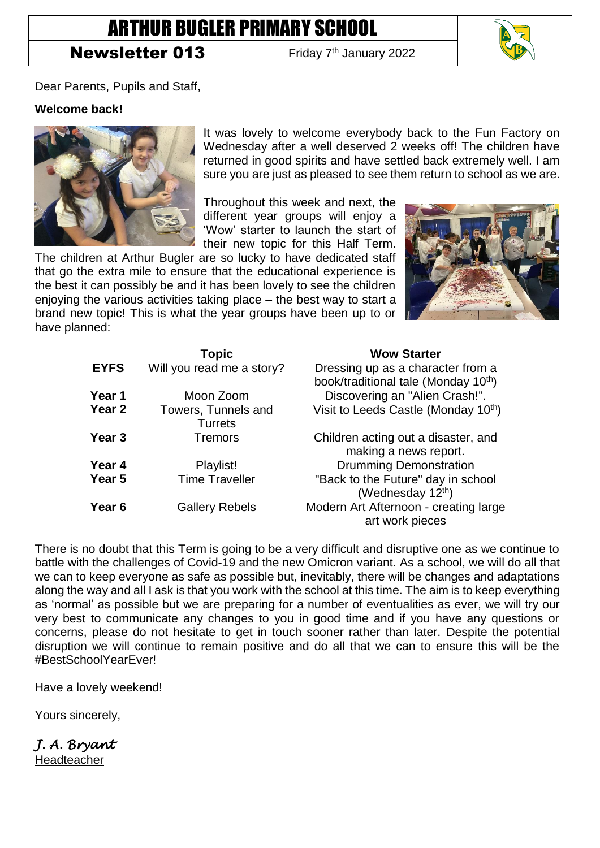# ARTHUR BUGLER PRIMARY SCHOOL

## **Newsletter 013**

Friday 7<sup>th</sup> January 2022



Dear Parents, Pupils and Staff,

#### **Welcome back!**



It was lovely to welcome everybody back to the Fun Factory on Wednesday after a well deserved 2 weeks off! The children have returned in good spirits and have settled back extremely well. I am sure you are just as pleased to see them return to school as we are.

Throughout this week and next, the different year groups will enjoy a 'Wow' starter to launch the start of their new topic for this Half Term.

The children at Arthur Bugler are so lucky to have dedicated staff that go the extra mile to ensure that the educational experience is the best it can possibly be and it has been lovely to see the children enjoying the various activities taking place – the best way to start a brand new topic! This is what the year groups have been up to or have planned:



|                   | <b>Topic</b>                          | <b>Wow Starter</b>                                                                    |
|-------------------|---------------------------------------|---------------------------------------------------------------------------------------|
| <b>EYFS</b>       | Will you read me a story?             | Dressing up as a character from a<br>book/traditional tale (Monday 10 <sup>th</sup> ) |
| Year 1            | Moon Zoom                             | Discovering an "Alien Crash!".                                                        |
| Year 2            | Towers, Tunnels and<br><b>Turrets</b> | Visit to Leeds Castle (Monday 10 <sup>th</sup> )                                      |
| Year <sub>3</sub> | <b>Tremors</b>                        | Children acting out a disaster, and<br>making a news report.                          |
| Year 4            | Playlist!                             | <b>Drumming Demonstration</b>                                                         |
| Year 5            | <b>Time Traveller</b>                 | "Back to the Future" day in school<br>(Wednesday 12 <sup>th</sup> )                   |
| Year <sub>6</sub> | <b>Gallery Rebels</b>                 | Modern Art Afternoon - creating large<br>art work pieces                              |

There is no doubt that this Term is going to be a very difficult and disruptive one as we continue to battle with the challenges of Covid-19 and the new Omicron variant. As a school, we will do all that we can to keep everyone as safe as possible but, inevitably, there will be changes and adaptations along the way and all I ask is that you work with the school at this time. The aim is to keep everything as 'normal' as possible but we are preparing for a number of eventualities as ever, we will try our very best to communicate any changes to you in good time and if you have any questions or concerns, please do not hesitate to get in touch sooner rather than later. Despite the potential disruption we will continue to remain positive and do all that we can to ensure this will be the #BestSchoolYearEver!

Have a lovely weekend!

Yours sincerely,

*J. A. Bryant*  Headteacher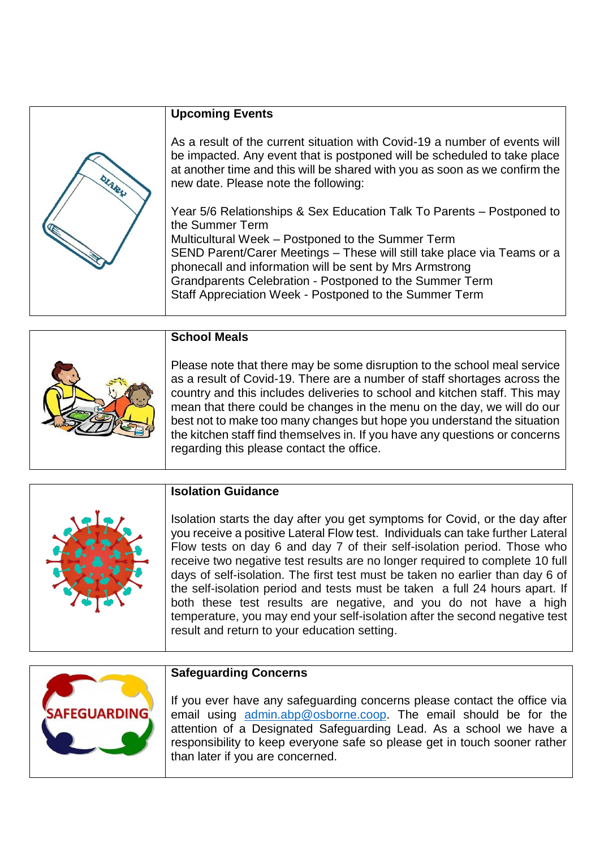|      | <b>Upcoming Events</b>                                                                                                                                                                                                                                                                                                                                                                                   |
|------|----------------------------------------------------------------------------------------------------------------------------------------------------------------------------------------------------------------------------------------------------------------------------------------------------------------------------------------------------------------------------------------------------------|
| OLAR | As a result of the current situation with Covid-19 a number of events will<br>be impacted. Any event that is postponed will be scheduled to take place<br>at another time and this will be shared with you as soon as we confirm the<br>new date. Please note the following:                                                                                                                             |
|      | Year 5/6 Relationships & Sex Education Talk To Parents – Postponed to<br>the Summer Term<br>Multicultural Week – Postponed to the Summer Term<br>SEND Parent/Carer Meetings - These will still take place via Teams or a<br>phonecall and information will be sent by Mrs Armstrong<br>Grandparents Celebration - Postponed to the Summer Term<br>Staff Appreciation Week - Postponed to the Summer Term |

| <b>School Meals</b>                                                                                                                                                                                                                                                                                                                                                                                                                                                                                                   |
|-----------------------------------------------------------------------------------------------------------------------------------------------------------------------------------------------------------------------------------------------------------------------------------------------------------------------------------------------------------------------------------------------------------------------------------------------------------------------------------------------------------------------|
| Please note that there may be some disruption to the school meal service<br>as a result of Covid-19. There are a number of staff shortages across the<br>country and this includes deliveries to school and kitchen staff. This may<br>mean that there could be changes in the menu on the day, we will do our<br>best not to make too many changes but hope you understand the situation<br>the kitchen staff find themselves in. If you have any questions or concerns<br>regarding this please contact the office. |

| Ą |  |
|---|--|
|   |  |

### **Isolation Guidance**

Isolation starts the day after you get symptoms for Covid, or the day after you receive a positive Lateral Flow test. Individuals can take further Lateral Flow tests on day 6 and day 7 of their self-isolation period. Those who receive two negative test results are no longer required to complete 10 full days of self-isolation. The first test must be taken no earlier than day 6 of the self-isolation period and tests must be taken a full 24 hours apart. If both these test results are negative, and you do not have a high temperature, you may end your self-isolation after the second negative test result and return to your education setting.



#### **Safeguarding Concerns**

If you ever have any safeguarding concerns please contact the office via email using [admin.abp@osborne.coop.](mailto:admin.abp@osborne.coop) The email should be for the attention of a Designated Safeguarding Lead. As a school we have a responsibility to keep everyone safe so please get in touch sooner rather than later if you are concerned.